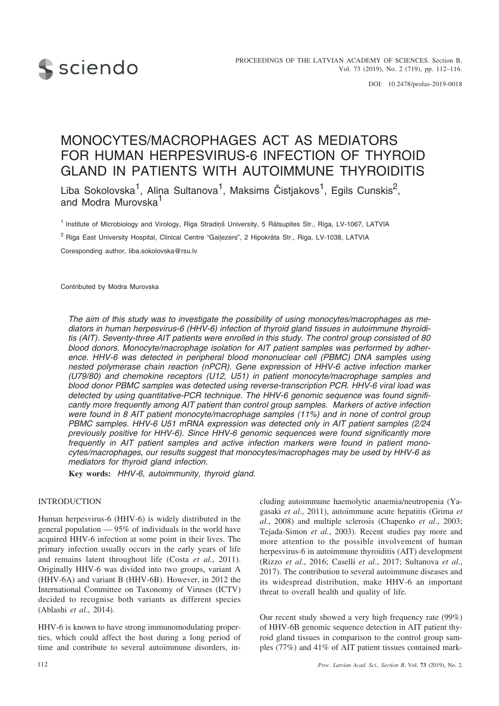

DOI: 10.2478/prolas-2019-0018

# MONOCYTES/MACROPHAGES ACT AS MEDIATORS FOR HUMAN HERPESVIRUS-6 INFECTION OF THYROID GLAND IN PATIENTS WITH AUTOIMMUNE THYROIDITIS

Lība Sokolovska<sup>1</sup>, Aliņa Sultanova<sup>1</sup>, Maksims Čistjakovs<sup>1</sup>, Egils Cunskis<sup>2</sup>, and Modra Murovska<sup>1</sup>

<sup>1</sup> Institute of Microbiology and Virology, Rīga Stradiņš University, 5 Rātsupītes Str., Rīga, LV-1067, LATVIA

<sup>2</sup> Riga East University Hospital, Clinical Centre "Gailezers", 2 Hipokrāta Str., Rīga, LV-1038, LATVIA

Coresponding author, liba.sokolovska@rsu.lv

Contributed by Modra Murovska

*The aim of this study was to investigate the possibility of using monocytes/macrophages as mediators in human herpesvirus-6 (HHV-6) infection of thyroid gland tissues in autoimmune thyroiditis (AIT). Seventy-three AIT patients were enrolled in this study. The control group consisted of 80 blood donors. Monocyte/macrophage isolation for AIT patient samples was performed by adherence. HHV-6 was detected in peripheral blood mononuclear cell (PBMC) DNA samples using nested polymerase chain reaction (nPCR). Gene expression of HHV-6 active infection marker (U79/80) and chemokine receptors (U12, U51) in patient monocyte/macrophage samples and blood donor PBMC samples was detected using reverse-transcription PCR. HHV-6 viral load was detected by using quantitative-PCR technique. The HHV-6 genomic sequence was found significantly more frequently among AIT patient than control group samples. Markers of active infection were found in 8 AIT patient monocyte/macrophage samples (11%) and in none of control group PBMC samples. HHV-6 U51 mRNA expression was detected only in AIT patient samples (2/24 previously positive for HHV-6). Since HHV-6 genomic sequences were found significantly more frequently in AIT patient samples and active infection markers were found in patient monocytes/macrophages, our results suggest that monocytes/macrophages may be used by HHV-6 as mediators for thyroid gland infection.*

**Key words:** *HHV-6, autoimmunity, thyroid gland.*

## INTRODUCTION

Human herpesvirus-6 (HHV-6) is widely distributed in the general population — 95% of individuals in the world have acquired HHV-6 infection at some point in their lives. The primary infection usually occurs in the early years of life and remains latent throughout life (Costa *et al*., 2011). Originally HHV-6 was divided into two groups, variant A (HHV-6A) and variant B (HHV-6B). However, in 2012 the International Committee on Taxonomy of Viruses (ICTV) decided to recognise both variants as different species (Ablashi *et al*., 2014).

HHV-6 is known to have strong immunomodulating properties, which could affect the host during a long period of time and contribute to several autoimmune disorders, including autoimmune haemolytic anaemia/neutropenia (Yagasaki *et al*., 2011), autoimmune acute hepatitis (Grima *et al*., 2008) and multiple sclerosis (Chapenko *et al*., 2003; Tejada-Simon *et al.*, 2003). Recent studies pay more and more attention to the possible involvement of human herpesvirus-6 in autoimmune thyroiditis (AIT) development (Rizzo *et al*., 2016; Caselli *et al*., 2017; Sultanova *et al*., 2017). The contribution to several autoimmune diseases and its widespread distribution, make HHV-6 an important threat to overall health and quality of life.

Our recent study showed a very high frequency rate (99%) of HHV-6B genomic sequence detection in AIT patient thyroid gland tissues in comparison to the control group samples (77%) and 41% of AIT patient tissues contained mark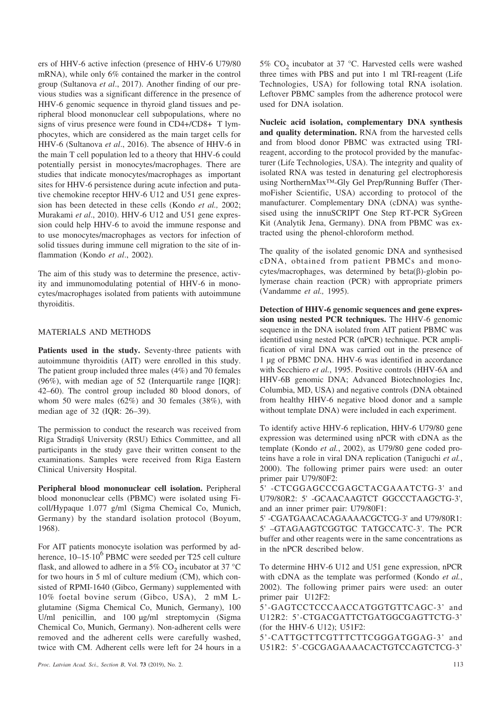ers of HHV-6 active infection (presence of HHV-6 U79/80 mRNA), while only 6% contained the marker in the control group (Sultanova *et al*., 2017). Another finding of our previous studies was a significant difference in the presence of HHV-6 genomic sequence in thyroid gland tissues and peripheral blood mononuclear cell subpopulations, where no signs of virus presence were found in CD4+/CD8+ T lymphocytes, which are considered as the main target cells for HHV-6 (Sultanova *et al*., 2016). The absence of HHV-6 in the main T cell population led to a theory that HHV-6 could potentially persist in monocytes/macrophages. There are studies that indicate monocytes/macrophages as important sites for HHV-6 persistence during acute infection and putative chemokine receptor HHV-6 U12 and U51 gene expression has been detected in these cells (Kondo *et al.,* 2002; Murakami *et al*., 2010). HHV-6 U12 and U51 gene expression could help HHV-6 to avoid the immune response and to use monocytes/macrophages as vectors for infection of solid tissues during immune cell migration to the site of inflammation (Kondo *et al*., 2002).

The aim of this study was to determine the presence, activity and immunomodulating potential of HHV-6 in monocytes/macrophages isolated from patients with autoimmune thyroiditis.

## MATERIALS AND METHODS

**Patients used in the study.** Seventy-three patients with autoimmune thyroiditis (AIT) were enrolled in this study. The patient group included three males (4%) and 70 females (96%), with median age of 52 (Interquartile range [IQR]: 42–60). The control group included 80 blood donors, of whom 50 were males (62%) and 30 females (38%), with median age of 32 (IQR: 26–39).

The permission to conduct the research was received from Rîga Stradiòð University (RSU) Ethics Committee, and all participants in the study gave their written consent to the examinations. Samples were received from Rîga Eastern Clinical University Hospital.

**Peripheral blood mononuclear cell isolation.** Peripheral blood mononuclear cells (PBMC) were isolated using Ficoll/Hypaque 1.077 g/ml (Sigma Chemical Co, Munich, Germany) by the standard isolation protocol (Boyum, 1968).

For AIT patients monocyte isolation was performed by adherence,  $10-15.10^6$  PBMC were seeded per T25 cell culture flask, and allowed to adhere in a 5% CO<sub>2</sub> incubator at 37 °C for two hours in 5 ml of culture medium (CM), which consisted of RPMI-1640 (Gibco, Germany) supplemented with 10% foetal bovine serum (Gibco, USA), 2 mM Lglutamine (Sigma Chemical Co, Munich, Germany), 100 U/ml penicillin, and 100 µg/ml streptomycin (Sigma Chemical Co, Munich, Germany). Non-adherent cells were removed and the adherent cells were carefully washed, twice with CM. Adherent cells were left for 24 hours in a 5%  $CO<sub>2</sub>$  incubator at 37 °C. Harvested cells were washed three times with PBS and put into 1 ml TRI-reagent (Life Technologies, USA) for following total RNA isolation. Leftover PBMC samples from the adherence protocol were used for DNA isolation.

**Nucleic acid isolation, complementary DNA synthesis and quality determination.** RNA from the harvested cells and from blood donor PBMC was extracted using TRIreagent, according to the protocol provided by the manufacturer (Life Technologies, USA). The integrity and quality of isolated RNA was tested in denaturing gel electrophoresis using NorthernMax™-Gly Gel Prep/Running Buffer (ThermoFisher Scientific, USA) according to protocol of the manufacturer. Complementary DNA (cDNA) was synthesised using the innuSCRIPT One Step RT-PCR SyGreen Kit (Analytik Jena, Germany). DNA from PBMC was extracted using the phenol-chloroform method.

The quality of the isolated genomic DNA and synthesised cDNA, obtained from patient PBMCs and mono $cytes/macrophages$ , was determined by beta $(\beta)$ -globin polymerase chain reaction (PCR) with appropriate primers (Vandamme *et al.,* 1995).

**Detection of HHV-6 genomic sequences and gene expression using nested PCR techniques.** The HHV-6 genomic sequence in the DNA isolated from AIT patient PBMC was identified using nested PCR (nPCR) technique. PCR amplification of viral DNA was carried out in the presence of 1 µg of PBMC DNA. HHV-6 was identified in accordance with Secchiero *et al.*, 1995. Positive controls (HHV-6A and HHV-6B genomic DNA; Advanced Biotechnologies Inc, Columbia, MD, USA) and negative controls (DNA obtained from healthy HHV-6 negative blood donor and a sample without template DNA) were included in each experiment.

To identify active HHV-6 replication, HHV-6 U79/80 gene expression was determined using nPCR with cDNA as the template (Kondo *et al.*, 2002), as U79/80 gene coded proteins have a role in viral DNA replication (Taniguchi *et al.*, 2000). The following primer pairs were used: an outer primer pair U79/80F2:

5' -CTCGGAGCCCGAGCTACGAAATCTG-3' and U79/80R2: 5' -GCAACAAGTCT GGCCCTAAGCTG-3', and an inner primer pair: U79/80F1:

5' -CGATGAACACAGAAAACGCTCG-3' and U79/80R1: 5' –GTAGAAGTCGGTGC TATGCCATC-3'. The PCR buffer and other reagents were in the same concentrations as in the nPCR described below.

To determine HHV-6 U12 and U51 gene expression, nPCR with cDNA as the template was performed (Kondo *et al.*, 2002). The following primer pairs were used: an outer primer pair U12F2:

5'-GAGTCCTCCCAACCATGGTGTTCAGC-3' and U12R2: 5'-CTGACGATTCTGATGGCGAGTTCTG-3' (for the HHV-6 U12); U51F2:

5'-CATTGCTTCGTTTCTTCGGGATGGAG-3' and U51R2: 5'-CGCGAGAAAACACTGTCCAGTCTCG-3'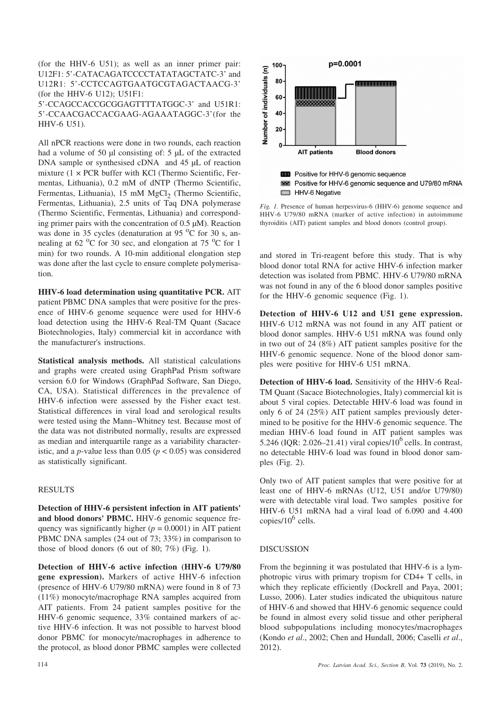(for the HHV-6 U51); as well as an inner primer pair: U12F1: 5'-CATACAGATCCCCTATATAGCTATC-3' and U12R1: 5'-CCTCCAGTGAATGCGTAGACTAACG-3' (for the HHV-6 U12); U51F1:

5'-CCAGCCACCGCGGAGTTTTATGGC-3' and U51R1: 5'-CCAACGACCACGAAG-AGAAATAGGC-3'(for the HHV-6 U51).

All nPCR reactions were done in two rounds, each reaction had a volume of 50 ul consisting of: 5 uL of the extracted DNA sample or synthesised cDNA and 45  $\mu$ L of reaction mixture  $(1 \times PCR)$  buffer with KCl (Thermo Scientific, Fermentas, Lithuania), 0.2 mM of dNTP (Thermo Scientific, Fermentas, Lithuania), 15 mM MgCl<sub>2</sub> (Thermo Scientific, Fermentas, Lithuania), 2.5 units of Taq DNA polymerase (Thermo Scientific, Fermentas, Lithuania) and corresponding primer pairs with the concentration of 0.5 µM). Reaction was done in 35 cycles (denaturation at 95 $\,^{\circ}$ C for 30 s, annealing at 62  $\mathrm{^0C}$  for 30 sec, and elongation at 75  $\mathrm{^0C}$  for 1 min) for two rounds. A 10-min additional elongation step was done after the last cycle to ensure complete polymerisation.

**HHV-6 load determination using quantitative PCR.** AIT patient PBMC DNA samples that were positive for the presence of HHV-6 genome sequence were used for HHV-6 load detection using the HHV-6 Real-TM Quant (Sacace Biotechnologies, Italy) commercial kit in accordance with the manufacturer's instructions.

**Statistical analysis methods.** All statistical calculations and graphs were created using GraphPad Prism software version 6.0 for Windows (GraphPad Software, San Diego, CA, USA). Statistical differences in the prevalence of HHV-6 infection were assessed by the Fisher exact test. Statistical differences in viral load and serological results were tested using the Mann–Whitney test. Because most of the data was not distributed normally, results are expressed as median and interquartile range as a variability characteristic, and a *p*-value less than  $0.05$  ( $p < 0.05$ ) was considered as statistically significant.

## RESULTS

**Detection of HHV-6 persistent infection in AIT patients' and blood donors' PBMC.** HHV-6 genomic sequence frequency was significantly higher  $(p = 0.0001)$  in AIT patient PBMC DNA samples (24 out of 73; 33%) in comparison to those of blood donors  $(6 \text{ out of } 80; 7\%)$  (Fig. 1).

**Detection of HHV-6 active infection (HHV-6 U79/80 gene expression).** Markers of active HHV-6 infection (presence of HHV-6 U79/80 mRNA) were found in 8 of 73 (11%) monocyte/macrophage RNA samples acquired from AIT patients. From 24 patient samples positive for the HHV-6 genomic sequence, 33% contained markers of active HHV-6 infection. It was not possible to harvest blood donor PBMC for monocyte/macrophages in adherence to the protocol, as blood donor PBMC samples were collected



*Fig. 1.* Presence of human herpesvirus-6 (HHV-6) genome sequence and HHV-6 U79/80 mRNA (marker of active infection) in autoimmune thyroiditis (AIT) patient samples and blood donors (control group).

and stored in Tri-reagent before this study. That is why blood donor total RNA for active HHV-6 infection marker detection was isolated from PBMC. HHV-6 U79/80 mRNA was not found in any of the 6 blood donor samples positive for the HHV-6 genomic sequence (Fig. 1).

**Detection of HHV-6 U12 and U51 gene expression.** HHV-6 U12 mRNA was not found in any AIT patient or blood donor samples. HHV-6 U51 mRNA was found only in two out of 24 (8%) AIT patient samples positive for the HHV-6 genomic sequence. None of the blood donor samples were positive for HHV-6 U51 mRNA.

**Detection of HHV-6 load.** Sensitivity of the HHV-6 Real-TM Quant (Sacace Biotechnologies, Italy) commercial kit is about 5 viral copies. Detectable HHV-6 load was found in only 6 of 24 (25%) AIT patient samples previously determined to be positive for the HHV-6 genomic sequence. The median HHV-6 load found in AIT patient samples was 5.246 (IQR: 2.026–21.41) viral copies/ $10^6$  cells. In contrast, no detectable HHV-6 load was found in blood donor samples (Fig. 2).

Only two of AIT patient samples that were positive for at least one of HHV-6 mRNAs (U12, U51 and/or U79/80) were with detectable viral load. Two samples positive for HHV-6 U51 mRNA had a viral load of 6.090 and 4.400 copies/ $10^6$  cells.

#### DISCUSSION

From the beginning it was postulated that HHV-6 is a lymphotropic virus with primary tropism for CD4+ T cells, in which they replicate efficiently (Dockrell and Paya, 2001; Lusso, 2006). Later studies indicated the ubiquitous nature of HHV-6 and showed that HHV-6 genomic sequence could be found in almost every solid tissue and other peripheral blood subpopulations including monocytes/macrophages (Kondo *et al*., 2002; Chen and Hundall, 2006; Caselli *et al*., 2012).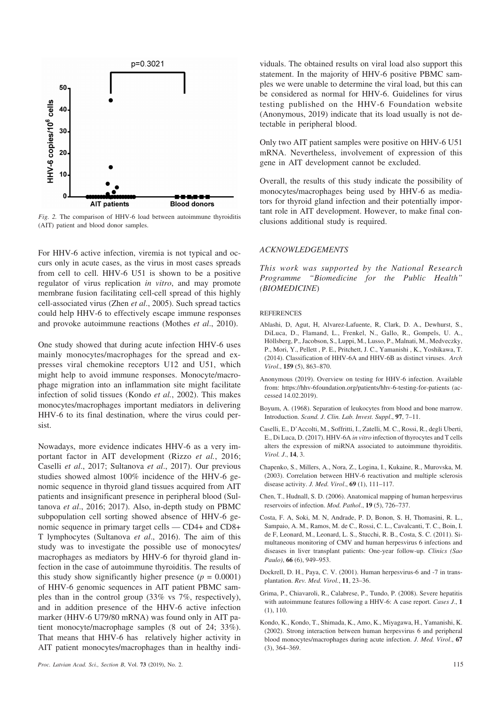

*Fig. 2.* The comparison of HHV-6 load between autoimmune thyroiditis (AIT) patient and blood donor samples.

For HHV-6 active infection, viremia is not typical and occurs only in acute cases, as the virus in most cases spreads from cell to cell. HHV-6 U51 is shown to be a positive regulator of virus replication *in vitro*, and may promote membrane fusion facilitating cell-cell spread of this highly cell-associated virus (Zhen *et al*., 2005). Such spread tactics could help HHV-6 to effectively escape immune responses and provoke autoimmune reactions (Mothes *et al*., 2010).

One study showed that during acute infection HHV-6 uses mainly monocytes/macrophages for the spread and expresses viral chemokine receptors U12 and U51, which might help to avoid immune responses. Monocyte/macrophage migration into an inflammation site might facilitate infection of solid tissues (Kondo *et al.*, 2002). This makes monocytes/macrophages important mediators in delivering HHV-6 to its final destination, where the virus could persist.

Nowadays, more evidence indicates HHV-6 as a very important factor in AIT development (Rizzo *et al.*, 2016; Caselli *et al*., 2017; Sultanova *et al*., 2017). Our previous studies showed almost 100% incidence of the HHV-6 genomic sequence in thyroid gland tissues acquired from AIT patients and insignificant presence in peripheral blood (Sultanova *et al*., 2016; 2017). Also, in-depth study on PBMC subpopulation cell sorting showed absence of HHV-6 genomic sequence in primary target cells — CD4+ and CD8+ T lymphocytes (Sultanova *et al*., 2016). The aim of this study was to investigate the possible use of monocytes/ macrophages as mediators by HHV-6 for thyroid gland infection in the case of autoimmune thyroiditis. The results of this study show significantly higher presence  $(p = 0.0001)$ of HHV-6 genomic sequences in AIT patient PBMC samples than in the control group (33% vs 7%, respectively), and in addition presence of the HHV-6 active infection marker (HHV-6 U79/80 mRNA) was found only in AIT patient monocyte/macrophage samples (8 out of 24; 33%). That means that HHV-6 has relatively higher activity in AIT patient monocytes/macrophages than in healthy individuals. The obtained results on viral load also support this statement. In the majority of HHV-6 positive PBMC samples we were unable to determine the viral load, but this can be considered as normal for HHV-6. Guidelines for virus testing published on the HHV-6 Foundation website (Anonymous, 2019) indicate that its load usually is not detectable in peripheral blood.

Only two AIT patient samples were positive on HHV-6 U51 mRNA. Nevertheless, involvement of expression of this gene in AIT development cannot be excluded.

Overall, the results of this study indicate the possibility of monocytes/macrophages being used by HHV-6 as mediators for thyroid gland infection and their potentially important role in AIT development. However, to make final conclusions additional study is required.

### *ACKNOWLEDGEMENTS*

*This work was supported by the National Research Programme "Biomedicine for the Public Health" (BIOMEDICINE*)

#### **REFERENCES**

- Ablashi, D, Agut, H, Alvarez-Lafuente, R, Clark, D. A., Dewhurst, S., DiLuca, D., Flamand, L., Frenkel, N., Gallo, R., Gompels, U. A., Höllsberg, P., Jacobson, S., Luppi, M., Lusso, P., Malnati, M., Medveczky, P., Mori, Y., Pellett , P. E., Pritchett, J. C., Yamanishi , K., Yoshikawa, T. (2014). Classification of HHV-6A and HHV-6B as distinct viruses. *Arch Virol*., **159** (5), 863–870.
- Anonymous (2019). Overview on testing for HHV-6 infection. Available from: https://hhv-6foundation.org/patients/hhv-6-testing-for-patients (accessed 14.02.2019).
- Boyum, A. (1968). Separation of leukocytes from blood and bone marrow. Introduction. *Scand. J. Clin. Lab. Invest. Suppl*., **97**, 7–11.
- Caselli, E., D'Accolti, M., Soffritti, I., Zatelli, M. C., Rossi, R., degli Uberti, E., Di Luca, D. (2017). HHV-6A *in vitro* infection of thyrocytes and T cells alters the expression of miRNA associated to autoimmune thyroiditis. *Virol. J*., **14**, 3.
- Chapenko, S., Millers, A., Nora, Z., Logina, I., Kukaine, R., Murovska, M. (2003). Correlation between HHV-6 reactivation and multiple sclerosis disease activity. *J. Med. Virol*., **69** (1), 111–117.
- Chen, T., Hudnall, S. D. (2006). Anatomical mapping of human herpesvirus reservoirs of infection. *Mod. Pathol*., **19** (5), 726–737.
- Costa, F. A, Soki, M. N, Andrade, P. D, Bonon, S. H, Thomasini, R. L., Sampaio, A. M., Ramos, M. de C., Rossi, C. L., Cavalcanti, T. C., Boin, I. de F, Leonard, M., Leonard, L. S., Stucchi, R. B., Costa, S. C. (2011). Simultaneous monitoring of CMV and human herpesvirus 6 infections and diseases in liver transplant patients: One-year follow-up. *Clinics (Sao Paulo)*, **66** (6), 949–953.
- Dockrell, D. H., Paya, C. V. (2001). Human herpesvirus-6 and -7 in transplantation. *Rev. Med. Virol.*, **11**, 23–36.
- Grima, P., Chiavaroli, R., Calabrese, P., Tundo, P. (2008). Severe hepatitis with autoimmune features following a HHV-6: A case report. *Cases J*., **1** (1), 110.
- Kondo, K., Kondo, T., Shimada, K., Amo, K., Miyagawa, H., Yamanishi, K. (2002). Strong interaction between human herpesvirus 6 and peripheral blood monocytes/macrophages during acute infection. *J. Med. Virol*., **67** (3), 364–369.